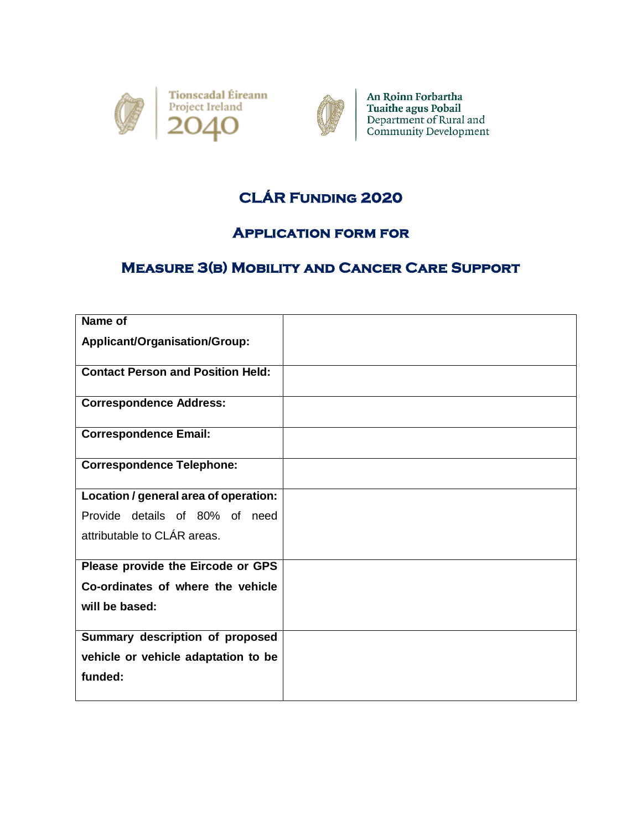



An Roinn Forbartha Tuaithe agus Pobail<br>Department of Rural and<br>Community Development

## **CLÁR Funding 2020**

## **Application form for**

## **Measure 3(b) Mobility and Cancer Care Support**

| Name of                                  |  |
|------------------------------------------|--|
| Applicant/Organisation/Group:            |  |
| <b>Contact Person and Position Held:</b> |  |
| <b>Correspondence Address:</b>           |  |
| <b>Correspondence Email:</b>             |  |
| <b>Correspondence Telephone:</b>         |  |
| Location / general area of operation:    |  |
| Provide details of 80% of need           |  |
| attributable to CLÁR areas.              |  |
| Please provide the Eircode or GPS        |  |
| Co-ordinates of where the vehicle        |  |
| will be based:                           |  |
| Summary description of proposed          |  |
| vehicle or vehicle adaptation to be      |  |
| funded:                                  |  |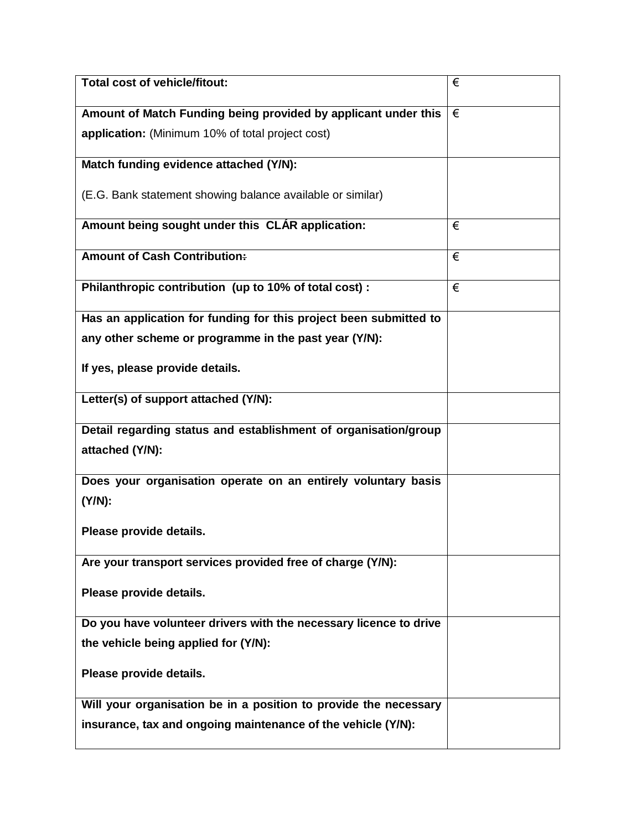| <b>Total cost of vehicle/fitout:</b>                              | € |
|-------------------------------------------------------------------|---|
| Amount of Match Funding being provided by applicant under this    | € |
| application: (Minimum 10% of total project cost)                  |   |
| Match funding evidence attached (Y/N):                            |   |
| (E.G. Bank statement showing balance available or similar)        |   |
| Amount being sought under this CLAR application:                  | € |
| <b>Amount of Cash Contribution:</b>                               | € |
| Philanthropic contribution (up to 10% of total cost):             | € |
| Has an application for funding for this project been submitted to |   |
| any other scheme or programme in the past year (Y/N):             |   |
| If yes, please provide details.                                   |   |
| Letter(s) of support attached (Y/N):                              |   |
| Detail regarding status and establishment of organisation/group   |   |
| attached (Y/N):                                                   |   |
| Does your organisation operate on an entirely voluntary basis     |   |
| $(Y/N)$ :                                                         |   |
| Please provide details.                                           |   |
| Are your transport services provided free of charge (Y/N):        |   |
| Please provide details.                                           |   |
| Do you have volunteer drivers with the necessary licence to drive |   |
| the vehicle being applied for (Y/N):                              |   |
| Please provide details.                                           |   |
| Will your organisation be in a position to provide the necessary  |   |
| insurance, tax and ongoing maintenance of the vehicle (Y/N):      |   |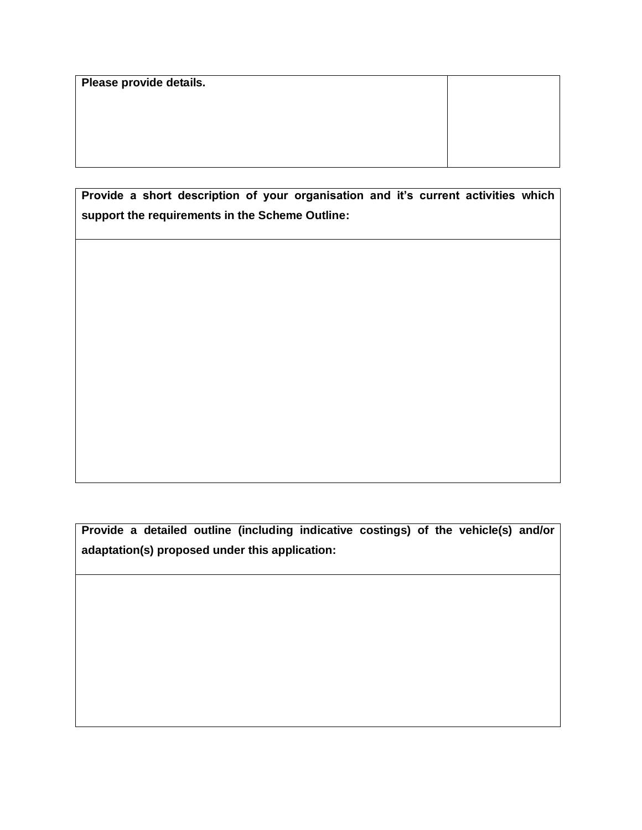**Please provide details.**

**Provide a short description of your organisation and it's current activities which support the requirements in the Scheme Outline:**

**Provide a detailed outline (including indicative costings) of the vehicle(s) and/or adaptation(s) proposed under this application:**